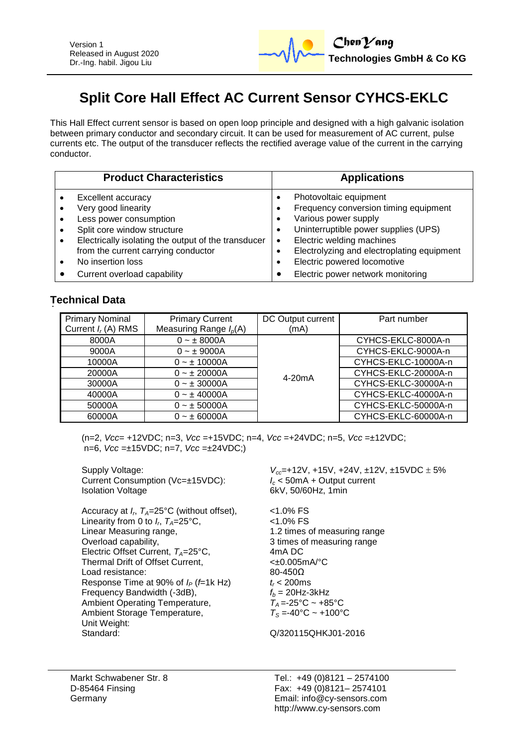

# **Split Core Hall Effect AC Current Sensor CYHCS-EKLC**

This Hall Effect current sensor is based on open loop principle and designed with a high galvanic isolation between primary conductor and secondary circuit. It can be used for measurement of AC current, pulse currents etc. The output of the transducer reflects the rectified average value of the current in the carrying conductor.

| <b>Product Characteristics</b> |                                                     | <b>Applications</b>                                |  |
|--------------------------------|-----------------------------------------------------|----------------------------------------------------|--|
|                                | Excellent accuracy                                  | Photovoltaic equipment<br>٠                        |  |
|                                | Very good linearity                                 | Frequency conversion timing equipment<br>$\bullet$ |  |
|                                | Less power consumption                              | Various power supply<br>$\bullet$                  |  |
|                                | Split core window structure                         | Uninterruptible power supplies (UPS)<br>٠          |  |
|                                | Electrically isolating the output of the transducer | Electric welding machines<br>$\bullet$             |  |
|                                | from the current carrying conductor                 | Electrolyzing and electroplating equipment<br>٠    |  |
|                                | No insertion loss                                   | Electric powered locomotive<br>$\bullet$           |  |
|                                | Current overload capability                         | Electric power network monitoring                  |  |

## **Technical Data**

| <b>Primary Nominal</b><br>Current $I_r(A)$ RMS | <b>Primary Current</b><br>Measuring Range $I_p(A)$ | DC Output current<br>(mA) | Part number         |
|------------------------------------------------|----------------------------------------------------|---------------------------|---------------------|
| 8000A                                          | $0 - \pm 8000A$                                    |                           | CYHCS-EKLC-8000A-n  |
| 9000A                                          | $0 - \pm 9000A$                                    | 4-20mA                    | CYHCS-EKLC-9000A-n  |
| 10000A<br>20000A<br>30000A<br>40000A<br>50000A | $0 - \pm 10000A$                                   |                           | CYHCS-EKLC-10000A-n |
|                                                | $0 - \pm 20000A$                                   |                           | CYHCS-EKLC-20000A-n |
|                                                | $0 - \pm 30000A$                                   |                           | CYHCS-EKLC-30000A-n |
|                                                | $0 - \pm 40000A$                                   |                           | CYHCS-EKLC-40000A-n |
|                                                | $0 - \pm 50000A$                                   |                           | CYHCS-EKLC-50000A-n |
| 60000A                                         | $0 - \pm 60000A$                                   |                           | CYHCS-EKLC-60000A-n |

(n=2, *Vcc*= +12VDC; n=3, *Vcc* =+15VDC; n=4, *Vcc* =+24VDC; n=5, *Vcc* =±12VDC; n=6, *Vcc* =±15VDC; n=7, *Vcc* =±24VDC;)

Supply Voltage:<br>Current Consumption (Vc=±15VDC):<br> $V_{cc}$ =+12V, +15V, +24V, ±12V, ±15VDC ± 5%<br> $I_c$  < 50mA + Output current Current Consumption (Vc=±15VDC):<br>*I*solation Voltage 6kV, 50/60Hz, 1min Accuracy at *I<sup>r</sup>* , *TA*=25°C (without offset), <1.0% FS Linearity from 0 to  $I_r$ ,  $T_A$ =25°C,  $\hspace{1cm}$  <1.0% FS Linear Measuring range, 1.2 times of measuring range Overload capability, 3 times of measuring range Electric Offset Current, *T<sub>A</sub>*=25°C, 4mA DC<br>Thermal Drift of Offset Current. 4  $< \pm 0.005$ mA/°C Thermal Drift of Offset Current, Load resistance: 80-450Ω Response Time at 90% of  $I_P$  (*f*=1k Hz)  $t_r$  < 200ms<br>Frequency Bandwidth (-3dB),  $t_b = 20$ Hz-3kHz Frequency Bandwidth (-3dB),  $f_b = 20$ Hz-3kHz<br>Ambient Operating Temperature,  $T_A = -25^\circ \text{C} \sim +85^\circ \text{C}$ Ambient Operating Temperature,  $T_A = -25^\circ \text{C} \sim +85^\circ \text{C}$ <br>Ambient Storage Temperature,  $T_S = -40^\circ \text{C} \sim +100^\circ \text{C}$ Ambient Storage Temperature, Unit Weight: Standard: Q/320115QHKJ01-2016